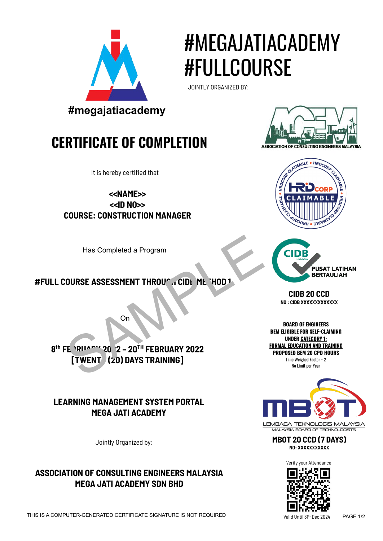

# #MEGAJATIACADEMY #FULLCOURSE

JOINTLY ORGANIZED BY:



## **CERTIFICATE OF COMPLETION**



It is hereby certified that

**<<NAME>> <<ID NO>> COURSE: CONSTRUCTION MANAGER**

Has Completed a Program

#### **#FULL COURSE ASSESSMENT THROUGH CIDE METHOD 1**



On

#### **LEARNING MANAGEMENT SYSTEM PORTAL MEGA JATI ACADEMY**

Jointly Organized by:

#### **ASSOCIATION OF CONSULTING ENGINEERS MALAYSIA MEGA JATI ACADEMY SDN BHD**





**CIDB 20 CCD NO : CIDB XXXXXXXXXXXXX**

**BOARD OF ENGINEERS BEM ELIGIBLE FOR SELF-CLAIMING UNDER CATEGORY 1: FORMAL EDUCATION AND TRAINING PROPOSED BEM 20 CPD HOURS** Time Weighed Factor = 2 No Limit per Year



**MBOT 20 CCD (7 DAYS) NO: XXXXXXXXXXX**